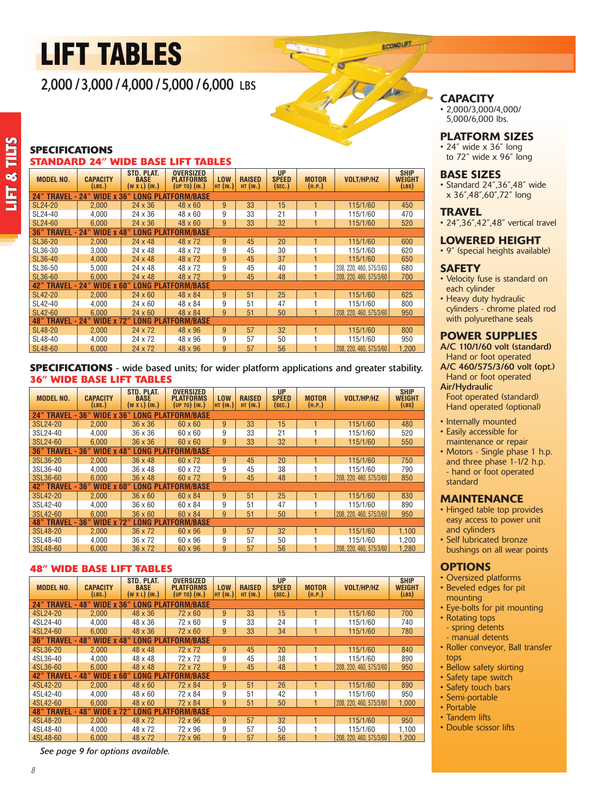# Lift tables

2,000 / 3,000 / 4,000 / 5,000 / 6,000 lbs

# **CAPACITY**

• 2,000/3,000/4,000/ 5,000/6,000 lbs.

#### Platform Sizes

• 24" wide x 36" long to 72" wide x 96" long

#### base sizes

• Standard 24",36",48" wide x 36",48",60",72" long

#### **TRAVEL**

• 24", 36", 42", 48" vertical travel

#### lowered height

• 9" (special heights available)

#### **SAFETY**

- Velocity fuse is standard on each cylinder
- Heavy duty hydraulic cylinders - chrome plated rod with polyurethane seals

#### Power supplies

A/C 110/1/60 volt (standard) Hand or foot operated A/C 460/575/3/60 volt (opt.)

 Hand or foot operated Air/Hydraulic

 Foot operated (standard) Hand operated (optional)

- Internally mounted
- Easily accessible for maintenance or repair
- Motors Single phase 1 h.p. and three phase 1-1/2 h.p. - hand or foot operated standard

#### Maintenance

- Hinged table top provides easy access to power unit and cylinders
- • Self lubricated bronze bushings on all wear points

#### **OPTIONS**

- • Oversized platforms
- • Beveled edges for pit
- mounting • Eye-bolts for pit mounting
- Rotating tops
- spring detents
- manual detents
- • Roller conveyor, Ball transfer tops
- Bellow safety skirting
- • Safety tape switch
- Safety touch bars
- • Semi-portable
- Portable
- Tandem lifts
- • Double scissor lifts

### **standard 24" wide base lift tables Specifications Std. plat. oversized Up ship**

| MODEL NO.                                                                          | CAPACITY<br>(LBS.) | <b>BASE</b><br>$(W X L)$ $(N. )$ | <b>PLATFORMS</b><br>$(UP~TO)$ $(IN.)$ | LOW<br><b>HT (IN.)</b> | <b>RAISED</b><br>$HT$ (IN.) | <b>SPEED</b><br>(SEC.) | <b>MOTOR</b><br>(H.P.) | VOLT/HP/HZ              | WEIGHT<br>(LBS) |  |
|------------------------------------------------------------------------------------|--------------------|----------------------------------|---------------------------------------|------------------------|-----------------------------|------------------------|------------------------|-------------------------|-----------------|--|
| <b>WIDE x</b><br>36"<br><b>LONG PLATFORM/BASE</b><br><b>24" TRAVEL</b><br>24"      |                    |                                  |                                       |                        |                             |                        |                        |                         |                 |  |
| SL24-20                                                                            | 2.000              | $24 \times 36$                   | 48 x 60                               | 9                      | 33                          | 15                     |                        | 115/1/60                | 450             |  |
| SL24-40                                                                            | 4,000              | $24 \times 36$                   | $48 \times 60$                        | 9                      | 33                          | 21                     |                        | 115/1/60                | 470             |  |
| SL24-60                                                                            | 6.000              | $24 \times 36$                   | $48 \times 60$                        | 9                      | 33                          | 32                     |                        | 115/1/60                | 520             |  |
| <b>WIDE x 48"</b><br><b>LONG PLATFORM/BASE</b><br><b>36" TRAVEL</b><br>24"<br>۰    |                    |                                  |                                       |                        |                             |                        |                        |                         |                 |  |
| SL36-20                                                                            | 2.000              | $24 \times 48$                   | 48 x 72                               | 9                      | 45                          | 20                     |                        | 115/1/60                | 600             |  |
| SL36-30                                                                            | 3,000              | $24 \times 48$                   | 48 x 72                               | 9                      | 45                          | 30                     |                        | 115/1/60                | 620             |  |
| SL36-40                                                                            | 4,000              | $24 \times 48$                   | 48 x 72                               | 9                      | 45                          | 37                     |                        | 115/1/60                | 650             |  |
| SL36-50                                                                            | 5,000              | $24 \times 48$                   | 48 x 72                               | 9                      | 45                          | 40                     |                        | 208, 220, 460, 575/3/60 | 680             |  |
| SL36-60                                                                            | 6.000              | $24 \times 48$                   | 48 x 72                               | 9                      | 45                          | 48                     |                        | 208, 220, 460, 575/3/60 | 700             |  |
| <b>WIDE x</b><br><b>LONG PLATFORM/BASE</b><br><b>42" TRAVEL</b><br>24"<br>60"<br>٠ |                    |                                  |                                       |                        |                             |                        |                        |                         |                 |  |
| SL42-20                                                                            | 2,000              | $24 \times 60$                   | 48 x 84                               | 9                      | 51                          | 25                     |                        | 115/1/60                | 625             |  |
| SL42-40                                                                            | 4,000              | $24 \times 60$                   | $48 \times 84$                        | 9                      | 51                          | 47                     |                        | 115/1/60                | 800             |  |
| SL42-60                                                                            | 6.000              | $24 \times 60$                   | 48 x 84                               | 9                      | 51                          | 50                     |                        | 208, 220, 460, 575/3/60 | 950             |  |
| <b>48" TRAVEL</b><br><b>WIDE x 72"</b><br><b>LONG PLATFORM/BASE</b><br>24"<br>٠    |                    |                                  |                                       |                        |                             |                        |                        |                         |                 |  |
| SL48-20                                                                            | 2,000              | $24 \times 72$                   | 48 x 96                               | 9                      | 57                          | 32                     |                        | 115/1/60                | 800             |  |
| SL48-40                                                                            | 4,000              | 24 x 72                          | 48 x 96                               | 9                      | 57                          | 50                     |                        | 115/1/60                | 950             |  |
| SL48-60                                                                            | 6.000              | 24 x 72                          | 48 x 96                               | 9                      | 57                          | 56                     |                        | 208.220.460.575/3/60    | 1.200           |  |

## **36" Wide Base Lift Tables SPECIFICATIONS** - wide based units; for wider platform applications and greater stability.

| <b>MODEL NO.</b>                                                       | CAPACITY<br>(LBS.)                                                | STD. PLAT.<br><b>BASE</b><br>$(W X L)$ $(N.)$ | <b>OVERSIZED</b><br><b>PLATFORMS</b><br>(UP TO) (IN.) | <b>LOW</b><br>$HT$ (IN.) | <b>RAISED</b><br>$HT$ (IN.) | <b>UP</b><br><b>SPEED</b><br>(SEC.) | <b>MOTOR</b><br>(H.P.) | VOLT/HP/HZ                     | <b>SHIP</b><br><b>WEIGHT</b><br>(LBS) |  |
|------------------------------------------------------------------------|-------------------------------------------------------------------|-----------------------------------------------|-------------------------------------------------------|--------------------------|-----------------------------|-------------------------------------|------------------------|--------------------------------|---------------------------------------|--|
| <b>24" TRAVEL</b><br>- 36<br>WIDE x 36<br><b>PLATFORM/BASE</b><br>LONG |                                                                   |                                               |                                                       |                          |                             |                                     |                        |                                |                                       |  |
| 3SL24-20                                                               | 2.000                                                             | $36 \times 36$                                | $60 \times 60$                                        | 9                        | 33                          | 15                                  |                        | 115/1/60                       | 480                                   |  |
| 3SL24-40                                                               | 4.000                                                             | $36 \times 36$                                | $60 \times 60$                                        | 9                        | 33                          | 21                                  |                        | 115/1/60                       | 520                                   |  |
| 3SL24-60                                                               | 6.000                                                             | $36 \times 36$                                | $60 \times 60$                                        | 9                        | 33                          | 32                                  |                        | 115/1/60                       | 550                                   |  |
| <b>36" TRAVEL</b><br>۰                                                 | <b>WIDE x 48</b><br><b>LONG PLATFORM/BASE</b><br>36               |                                               |                                                       |                          |                             |                                     |                        |                                |                                       |  |
| 3SL36-20                                                               | 2.000                                                             | $36 \times 48$                                | 60 x 72                                               | 9                        | 45                          | 20                                  |                        | 115/1/60                       | 750                                   |  |
| 3SL36-40                                                               | 4.000                                                             | $36 \times 48$                                | 60 x 72                                               | 9                        | 45                          | 38                                  |                        | 115/1/60                       | 790                                   |  |
| 3SL36-60                                                               | 6.000                                                             | $36 \times 48$                                | 60 x 72                                               | 9                        | 45                          | 48                                  |                        | 208, 220, 460, 575/3/60        | 850                                   |  |
| <b>TRAVEL</b><br>42"                                                   | WIDE $x$ 60<br>$-36"$<br><b>LONG</b><br><b>PLATFORM/BASE</b>      |                                               |                                                       |                          |                             |                                     |                        |                                |                                       |  |
| 3SL42-20                                                               | 2.000                                                             | $36 \times 60$                                | $60 \times 84$                                        | 9                        | 51                          | 25                                  |                        | 115/1/60                       | 830                                   |  |
| 3SL42-40                                                               | 4.000                                                             | $36 \times 60$                                | $60 \times 84$                                        | 9                        | 51                          | 47                                  |                        | 115/1/60                       | 890                                   |  |
| 3SL42-60                                                               | 6.000                                                             | $36 \times 60$                                | 60 x 84                                               | 9                        | 51                          | 50                                  |                        | 208, 220, 460, 575/3/60        | 950                                   |  |
| <b>TRAVEL</b><br>48"                                                   | <b>LONG</b><br><b>PLATFORM/BASE</b><br>$-36$<br><b>WIDE x 72"</b> |                                               |                                                       |                          |                             |                                     |                        |                                |                                       |  |
| 3SL48-20                                                               | 2.000                                                             | 36 x 72                                       | 60 x 96                                               | 9                        | 57                          | 32                                  |                        | 115/1/60                       | 1,100                                 |  |
| 3SL48-40                                                               | 4,000                                                             | 36 x 72                                       | 60 x 96                                               | 9                        | 57                          | 50                                  |                        | 115/1/60                       | 1,200                                 |  |
| 3SL48-60                                                               | 6.000                                                             | $36 \times 72$                                | 60 x 96                                               | 9                        | 57                          | 56                                  |                        | . 220. 460. 575/3/60<br>l 208. | 1.280                                 |  |

# **48" wide base lift tables**

| MODEL NO.                                                                                                                | <b>CAPACITY</b><br>(LBS.) | STD. PLAT.<br><b>BASE</b><br>$(W X L)$ $(N.)$ | <b>OVERSIZED</b><br><b>PLATFORMS</b><br>(UP TO) (IN.) | <b>LOW</b><br>$HT$ (IN.) | <b>RAISED</b><br>$HT$ (IN.) | <b>UP</b><br><b>SPEED</b><br>(SEC.) | <b>MOTOR</b><br>(H.P.) | <b>VOLT/HP/HZ</b>       | <b>SHIP</b><br><b>WEIGHT</b><br>(LBS) |
|--------------------------------------------------------------------------------------------------------------------------|---------------------------|-----------------------------------------------|-------------------------------------------------------|--------------------------|-----------------------------|-------------------------------------|------------------------|-------------------------|---------------------------------------|
| <b>TRAVEL</b><br>NG<br>.ATFORM/BASE<br>48<br>36"<br>Pl<br>24"<br>0<br>WI<br>$\mathbf x$                                  |                           |                                               |                                                       |                          |                             |                                     |                        |                         |                                       |
| 4SL24-20                                                                                                                 | 2.000                     | $48 \times 36$                                | 72 x 60                                               | 9                        | 33                          | 15                                  |                        | 115/1/60                | 700                                   |
| 4SL24-40                                                                                                                 | 4.000                     | 48 x 36                                       | 72 x 60                                               | 9                        | 33                          | 24                                  |                        | 115/1/60                | 740                                   |
| 4SL24-60                                                                                                                 | 6.000                     | 48 x 36                                       | 72 x 60                                               | 9                        | 33                          | 34                                  |                        | 115/1/60                | 780                                   |
| <b>PLATFORM/BASE</b><br><b>TRAVEL</b><br><b>48</b> "<br><b>LONG</b><br>36"<br><b>48</b> "<br><b>WIDE</b><br>$\mathbf{x}$ |                           |                                               |                                                       |                          |                             |                                     |                        |                         |                                       |
| 4SL36-20                                                                                                                 | 2.000                     | $48 \times 48$                                | 72 x 72                                               | 9                        | 45                          | 20                                  |                        | 115/1/60                | 840                                   |
| 4SL36-40                                                                                                                 | 4.000                     | 48 x 48                                       | 72 x 72                                               | 9                        | 45                          | 38                                  |                        | 115/1/60                | 890                                   |
| 4SL36-60                                                                                                                 | 6.000                     | $48 \times 48$                                | 72 x 72                                               | 9                        | 45                          | 48                                  |                        | 208, 220, 460, 575/3/60 | 950                                   |
| <b>42" TRAVEL</b><br><b>WIDE x</b><br><b>LONG</b><br><b>PLATFORM/BASE</b><br>48"<br>60                                   |                           |                                               |                                                       |                          |                             |                                     |                        |                         |                                       |
| 4SL42-20                                                                                                                 | 2.000                     | 48 x 60                                       | 72 x 84                                               | 9                        | 51                          | 26                                  |                        | 115/1/60                | 890                                   |
| 4SL42-40                                                                                                                 | 4.000                     | $48 \times 60$                                | 72 x 84                                               | 9                        | 51                          | 42                                  |                        | 115/1/60                | 950                                   |
| 4SL42-60                                                                                                                 | 6.000                     | $48 \times 60$                                | 72 x 84                                               | 9                        | 51                          | 50                                  |                        | 208.220.460.575/3/60    | 1.000                                 |
| LONG<br><b>LATFORM/BASE</b><br><b>TRAVEL</b><br>PI<br><b>48</b> "<br>48<br><b>WIDE x</b>                                 |                           |                                               |                                                       |                          |                             |                                     |                        |                         |                                       |
| 4SL48-20                                                                                                                 | 2.000                     | 48 x 72                                       | 72 x 96                                               | 9                        | 57                          | 32                                  |                        | 115/1/60                | 950                                   |
| 4SL48-40                                                                                                                 | 4.000                     | 48 x 72                                       | 72 x 96                                               | 9                        | 57                          | 50                                  |                        | 115/1/60                | 1.100                                 |
| 4SL48-60                                                                                                                 | 6.000                     | 48 x 72                                       | 72 x 96                                               | 9                        | 57                          | 56                                  |                        | 208, 220, 460, 575/3/60 | 1.200                                 |

*See page 9 for options available.*

*8*